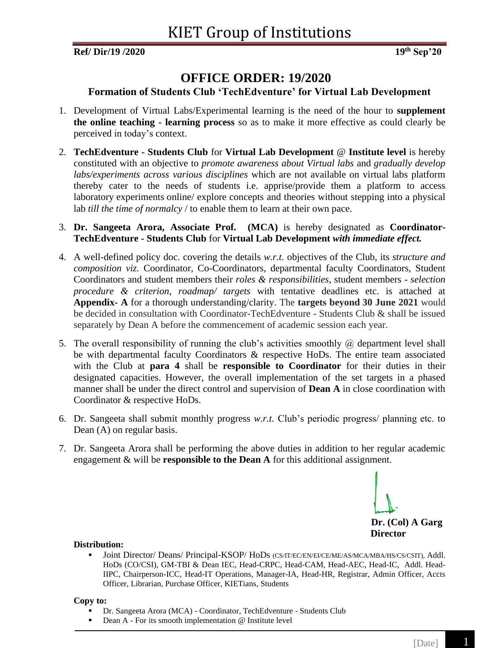**th Sep'20**

# **OFFICE ORDER: 19/2020**

## **Formation of Students Club 'TechEdventure' for Virtual Lab Development**

- 1. Development of Virtual Labs/Experimental learning is the need of the hour to **supplement the online teaching - learning process** so as to make it more effective as could clearly be perceived in today's context.
- 2. **TechEdventure - Students Club** for **Virtual Lab Development** @ **Institute level** is hereby constituted with an objective to *promote awareness about Virtual labs* and *gradually develop labs/experiments across various disciplines* which are not available on virtual labs platform thereby cater to the needs of students i.e. apprise/provide them a platform to access laboratory experiments online/ explore concepts and theories without stepping into a physical lab *till the time of normalcy* / to enable them to learn at their own pace.

#### 3. **Dr. Sangeeta Arora, Associate Prof. (MCA)** is hereby designated as **Coordinator-TechEdventure - Students Club** for **Virtual Lab Development** *with immediate effect.*

- 4. A well-defined policy doc. covering the details *w.r.t.* objectives of the Club, its *structure and composition viz.* Coordinator, Co-Coordinators, departmental faculty Coordinators, Student Coordinators and student members their *roles & responsibilities*, student members - *selection procedure & criterion*, *roadmap/ targets* with tentative deadlines etc. is attached at **Appendix- A** for a thorough understanding/clarity. The **targets beyond 30 June 2021** would be decided in consultation with Coordinator-TechEdventure - Students Club & shall be issued separately by Dean A before the commencement of academic session each year.
- 5. The overall responsibility of running the club's activities smoothly  $@$  department level shall be with departmental faculty Coordinators & respective HoDs. The entire team associated with the Club at **para 4** shall be **responsible to Coordinator** for their duties in their designated capacities. However, the overall implementation of the set targets in a phased manner shall be under the direct control and supervision of **Dean A** in close coordination with Coordinator & respective HoDs.
- 6. Dr. Sangeeta shall submit monthly progress *w.r.t.* Club's periodic progress/ planning etc. to Dean (A) on regular basis.
- 7. Dr. Sangeeta Arora shall be performing the above duties in addition to her regular academic engagement & will be **responsible to the Dean A** for this additional assignment.

 **Dr. (Col) A Garg Director**

#### **Distribution:**

▪ Joint Director/ Deans/ Principal-KSOP/ HoDs (CS/IT/EC/EN/EI/CE/ME/AS/MCA/MBA/HS/CS/CSIT), Addl. HoDs (CO/CSI), GM-TBI & Dean IEC, Head-CRPC, Head-CAM, Head-AEC, Head-IC, Addl. Head-IIPC, Chairperson-ICC, Head-IT Operations, Manager-IA, Head-HR, Registrar, Admin Officer, Accts Officer, Librarian, Purchase Officer, KIETians, Students

#### **Copy to:**

- Dr. Sangeeta Arora (MCA) Coordinator, TechEdventure Students Club
- Dean A For its smooth implementation @ Institute level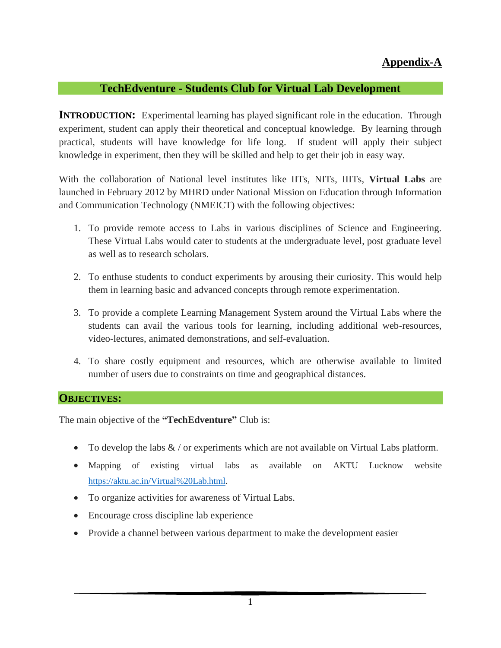# **Appendix-A**

### **TechEdventure - Students Club for Virtual Lab Development**

**INTRODUCTION:** Experimental learning has played significant role in the education. Through experiment, student can apply their theoretical and conceptual knowledge. By learning through practical, students will have knowledge for life long. If student will apply their subject knowledge in experiment, then they will be skilled and help to get their job in easy way.

With the collaboration of National level institutes like IITs, NITs, IIITs, **Virtual Labs** are launched in February 2012 by MHRD under National Mission on Education through Information and Communication Technology (NMEICT) with the following objectives:

- 1. To provide remote access to Labs in various disciplines of Science and Engineering. These Virtual Labs would cater to students at the undergraduate level, post graduate level as well as to research scholars.
- 2. To enthuse students to conduct experiments by arousing their curiosity. This would help them in learning basic and advanced concepts through remote experimentation.
- 3. To provide a complete Learning Management System around the Virtual Labs where the students can avail the various tools for learning, including additional web-resources, video-lectures, animated demonstrations, and self-evaluation.
- 4. To share costly equipment and resources, which are otherwise available to limited number of users due to constraints on time and geographical distances.

### **OBJECTIVES:**

The main objective of the **"TechEdventure"** Club is:

- To develop the labs  $\&$  / or experiments which are not available on Virtual Labs platform.
- Mapping of existing virtual labs as available on AKTU Lucknow website [https://aktu.ac.in/Virtual%20Lab.html.](https://aktu.ac.in/Virtual%20Lab.html)
- To organize activities for awareness of Virtual Labs.
- Encourage cross discipline lab experience
- Provide a channel between various department to make the development easier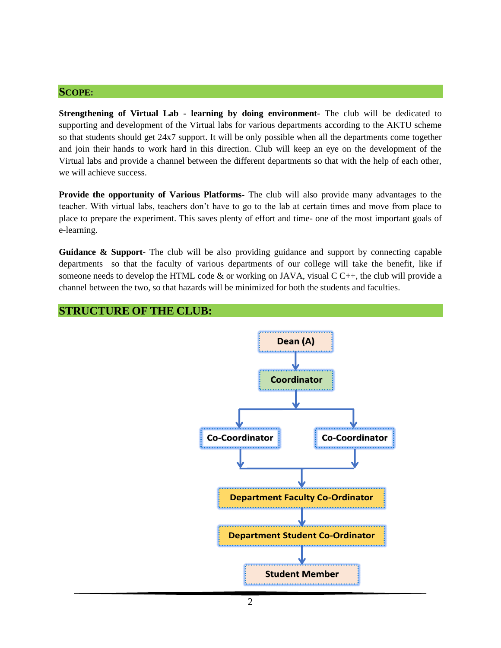#### **SCOPE:**

**Strengthening of Virtual Lab - learning by doing environment-** The club will be dedicated to supporting and development of the Virtual labs for various departments according to the AKTU scheme so that students should get 24x7 support. It will be only possible when all the departments come together and join their hands to work hard in this direction. Club will keep an eye on the development of the Virtual labs and provide a channel between the different departments so that with the help of each other, we will achieve success.

**Provide the opportunity of Various Platforms-** The club will also provide many advantages to the teacher. With virtual labs, teachers don't have to go to the lab at certain times and move from place to place to prepare the experiment. This saves plenty of effort and time- one of the most important goals of e-learning.

**Guidance & Support-** The club will be also providing guidance and support by connecting capable departments so that the faculty of various departments of our college will take the benefit, like if someone needs to develop the HTML code  $\&$  or working on JAVA, visual C C++, the club will provide a channel between the two, so that hazards will be minimized for both the students and faculties.

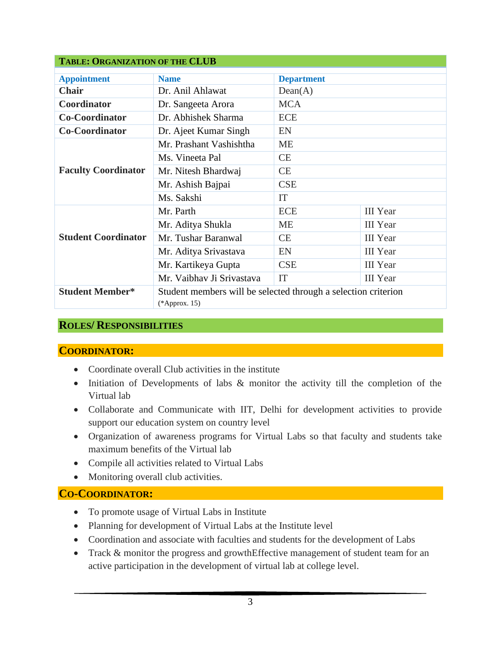| <b>TABLE: ORGANIZATION OF THE CLUB</b> |                                                                |                   |                 |  |
|----------------------------------------|----------------------------------------------------------------|-------------------|-----------------|--|
|                                        |                                                                |                   |                 |  |
| <b>Appointment</b>                     | <b>Name</b>                                                    | <b>Department</b> |                 |  |
| <b>Chair</b>                           | Dr. Anil Ahlawat                                               | Dean(A)           |                 |  |
| Coordinator                            | Dr. Sangeeta Arora                                             | <b>MCA</b>        |                 |  |
| <b>Co-Coordinator</b>                  | Dr. Abhishek Sharma                                            | <b>ECE</b>        |                 |  |
| <b>Co-Coordinator</b>                  | Dr. Ajeet Kumar Singh                                          | EN                |                 |  |
|                                        | Mr. Prashant Vashishtha                                        | <b>ME</b>         |                 |  |
|                                        | Ms. Vineeta Pal                                                | <b>CE</b>         |                 |  |
| <b>Faculty Coordinator</b>             | Mr. Nitesh Bhardwaj                                            | <b>CE</b>         |                 |  |
|                                        | Mr. Ashish Bajpai                                              | <b>CSE</b>        |                 |  |
|                                        | Ms. Sakshi                                                     | IT                |                 |  |
|                                        | Mr. Parth                                                      | <b>ECE</b>        | <b>III</b> Year |  |
|                                        | Mr. Aditya Shukla                                              | <b>ME</b>         | <b>III</b> Year |  |
| <b>Student Coordinator</b>             | Mr. Tushar Baranwal                                            | <b>CE</b>         | <b>III</b> Year |  |
|                                        | Mr. Aditya Srivastava                                          | EN                | <b>III</b> Year |  |
|                                        | Mr. Kartikeya Gupta                                            | <b>CSE</b>        | <b>III</b> Year |  |
|                                        | Mr. Vaibhav Ji Srivastava                                      | IT                | <b>III</b> Year |  |
| <b>Student Member*</b>                 | Student members will be selected through a selection criterion |                   |                 |  |
|                                        | $(*Approx. 15)$                                                |                   |                 |  |

## **ROLES/ RESPONSIBILITIES**

### **COORDINATOR:**

- Coordinate overall Club activities in the institute
- Initiation of Developments of labs & monitor the activity till the completion of the Virtual lab
- Collaborate and Communicate with IIT, Delhi for development activities to provide support our education system on country level
- Organization of awareness programs for Virtual Labs so that faculty and students take maximum benefits of the Virtual lab
- Compile all activities related to Virtual Labs
- Monitoring overall club activities.

### **CO-COORDINATOR:**

- To promote usage of Virtual Labs in Institute
- Planning for development of Virtual Labs at the Institute level
- Coordination and associate with faculties and students for the development of Labs
- Track & monitor the progress and growthEffective management of student team for an active participation in the development of virtual lab at college level.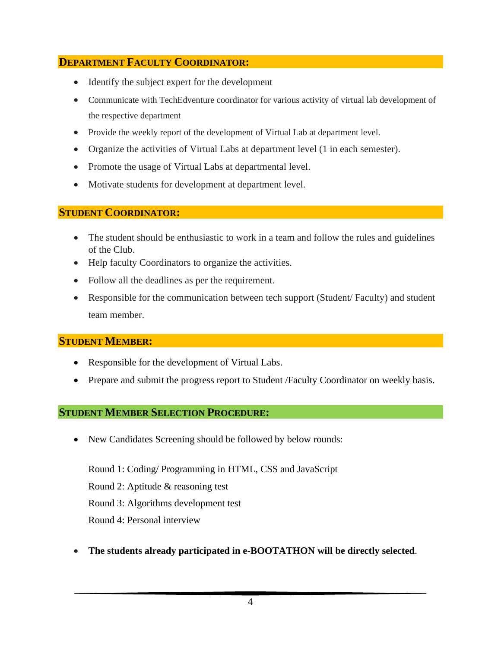## **DEPARTMENT FACULTY COORDINATOR:**

- Identify the subject expert for the development
- Communicate with TechEdventure coordinator for various activity of virtual lab development of the respective department
- Provide the weekly report of the development of Virtual Lab at department level.
- Organize the activities of Virtual Labs at department level (1 in each semester).
- Promote the usage of Virtual Labs at departmental level.
- Motivate students for development at department level.

### **STUDENT COORDINATOR:**

- The student should be enthusiastic to work in a team and follow the rules and guidelines of the Club.
- Help faculty Coordinators to organize the activities.
- Follow all the deadlines as per the requirement.
- Responsible for the communication between tech support (Student/ Faculty) and student team member.

### **STUDENT MEMBER:**

- Responsible for the development of Virtual Labs.
- Prepare and submit the progress report to Student /Faculty Coordinator on weekly basis.

### **STUDENT MEMBER SELECTION PROCEDURE:**

• New Candidates Screening should be followed by below rounds:

Round 1: Coding/ Programming in HTML, CSS and JavaScript Round 2: Aptitude & reasoning test Round 3: Algorithms development test Round 4: Personal interview

• **The students already participated in e-BOOTATHON will be directly selected**.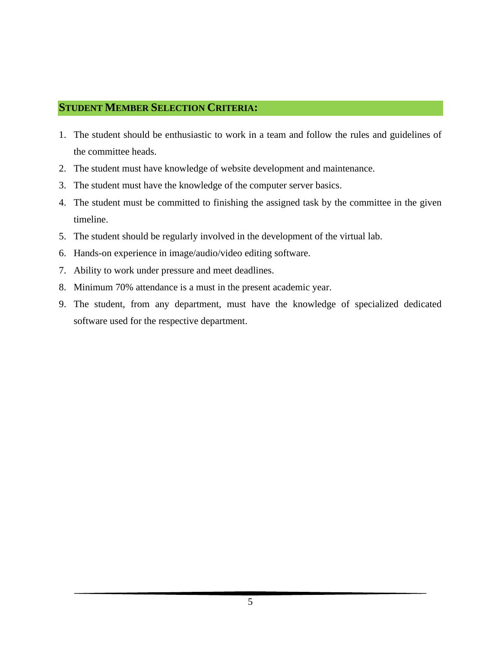# **STUDENT MEMBER SELECTION CRITERIA:**

- 1. The student should be enthusiastic to work in a team and follow the rules and guidelines of the committee heads.
- 2. The student must have knowledge of website development and maintenance.
- 3. The student must have the knowledge of the computer server basics.
- 4. The student must be committed to finishing the assigned task by the committee in the given timeline.
- 5. The student should be regularly involved in the development of the virtual lab.
- 6. Hands-on experience in image/audio/video editing software.
- 7. Ability to work under pressure and meet deadlines.
- 8. Minimum 70% attendance is a must in the present academic year.
- 9. The student, from any department, must have the knowledge of specialized dedicated software used for the respective department.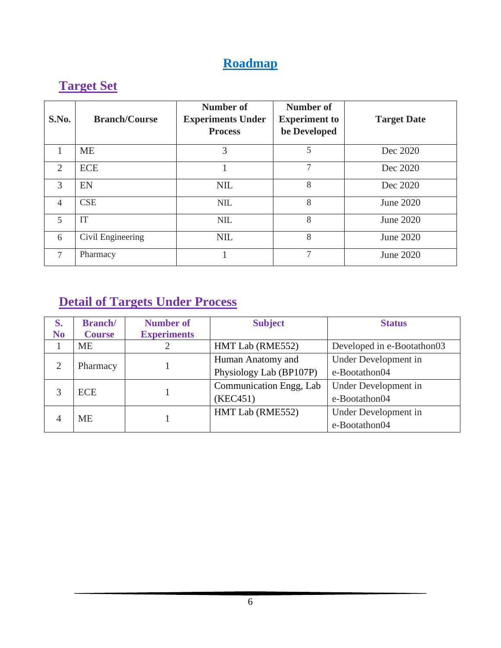# **Roadmap**

# **Target Set**

| S.No.          | <b>Branch/Course</b> | Number of<br><b>Experiments Under</b><br><b>Process</b> | Number of<br><b>Experiment to</b><br>be Developed | <b>Target Date</b> |
|----------------|----------------------|---------------------------------------------------------|---------------------------------------------------|--------------------|
| 1              | <b>ME</b>            | 3                                                       | 5                                                 | Dec 2020           |
| 2              | <b>ECE</b>           |                                                         | $\tau$                                            | Dec 2020           |
| 3              | EN                   | <b>NIL</b>                                              | 8                                                 | Dec 2020           |
| $\overline{4}$ | <b>CSE</b>           | <b>NIL</b>                                              | 8                                                 | June 2020          |
| 5              | IT                   | <b>NIL</b>                                              | 8                                                 | June 2020          |
| 6              | Civil Engineering    | <b>NIL</b>                                              | 8                                                 | <b>June 2020</b>   |
| $\tau$         | Pharmacy             |                                                         | $\tau$                                            | June 2020          |

# **Detail of Targets Under Process**

| S.              | <b>Branch</b> / | <b>Number of</b>        | <b>Subject</b>          | <b>Status</b>              |
|-----------------|-----------------|-------------------------|-------------------------|----------------------------|
| N <sub>o</sub>  | <b>Course</b>   | <b>Experiments</b>      |                         |                            |
|                 | <b>ME</b>       |                         | HMT Lab (RME552)        | Developed in e-Bootathon03 |
| 2<br>Pharmacy   |                 |                         | Human Anatomy and       | Under Development in       |
|                 |                 | Physiology Lab (BP107P) | e-Bootathon04           |                            |
| <b>ECE</b><br>3 |                 |                         | Communication Engg, Lab | Under Development in       |
|                 |                 |                         | (KEC451)                | e-Bootathon04              |
| <b>ME</b><br>4  |                 |                         | HMT Lab (RME552)        | Under Development in       |
|                 |                 |                         |                         | e-Bootathon04              |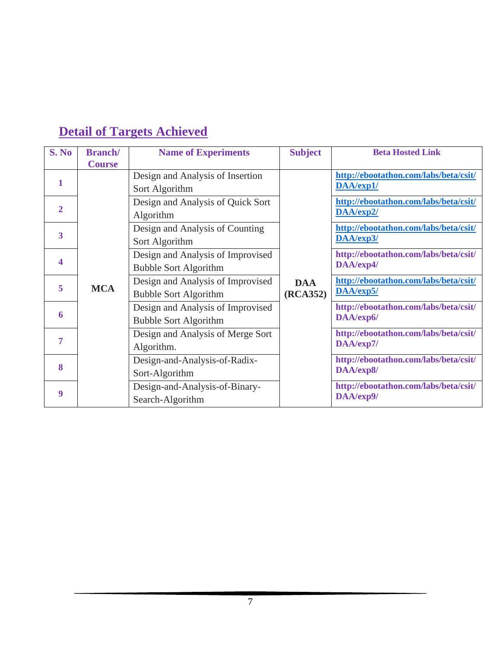# **Detail of Targets Achieved**

| S. No                   | <b>Branch</b> / | <b>Name of Experiments</b>        | <b>Subject</b>         | <b>Beta Hosted Link</b>               |
|-------------------------|-----------------|-----------------------------------|------------------------|---------------------------------------|
|                         | <b>Course</b>   |                                   |                        |                                       |
|                         |                 | Design and Analysis of Insertion  |                        | http://ebootathon.com/labs/beta/csit/ |
| 1                       |                 | Sort Algorithm                    |                        | DAA/exp1/                             |
|                         |                 | Design and Analysis of Quick Sort |                        | http://ebootathon.com/labs/beta/csit/ |
| $\overline{2}$          |                 | Algorithm                         |                        | DAA/exp2/                             |
|                         |                 | Design and Analysis of Counting   |                        | http://ebootathon.com/labs/beta/csit/ |
| $\overline{\mathbf{3}}$ |                 | Sort Algorithm                    |                        | DAA/exp3/                             |
|                         |                 | Design and Analysis of Improvised |                        | http://ebootathon.com/labs/beta/csit/ |
| 4                       | <b>MCA</b>      | <b>Bubble Sort Algorithm</b>      | <b>DAA</b><br>(RCA352) | DAA/exp4/                             |
| 5                       |                 | Design and Analysis of Improvised |                        | http://ebootathon.com/labs/beta/csit/ |
|                         |                 | <b>Bubble Sort Algorithm</b>      |                        | DAA/exp5/                             |
|                         |                 | Design and Analysis of Improvised |                        | http://ebootathon.com/labs/beta/csit/ |
| 6                       |                 | <b>Bubble Sort Algorithm</b>      |                        | DAA/exp6/                             |
|                         |                 | Design and Analysis of Merge Sort |                        | http://ebootathon.com/labs/beta/csit/ |
| 7                       |                 | Algorithm.                        |                        | DAA/exp7/                             |
|                         |                 | Design-and-Analysis-of-Radix-     |                        | http://ebootathon.com/labs/beta/csit/ |
| 8                       |                 | Sort-Algorithm                    |                        | DAA/exp8/                             |
| 9                       |                 | Design-and-Analysis-of-Binary-    |                        | http://ebootathon.com/labs/beta/csit/ |
|                         |                 | Search-Algorithm                  |                        | DAA/exp9/                             |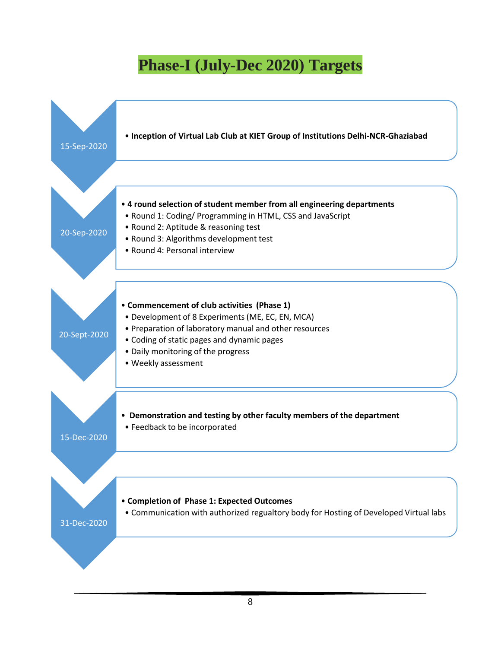# **Phase-I (July-Dec 2020) Targets**